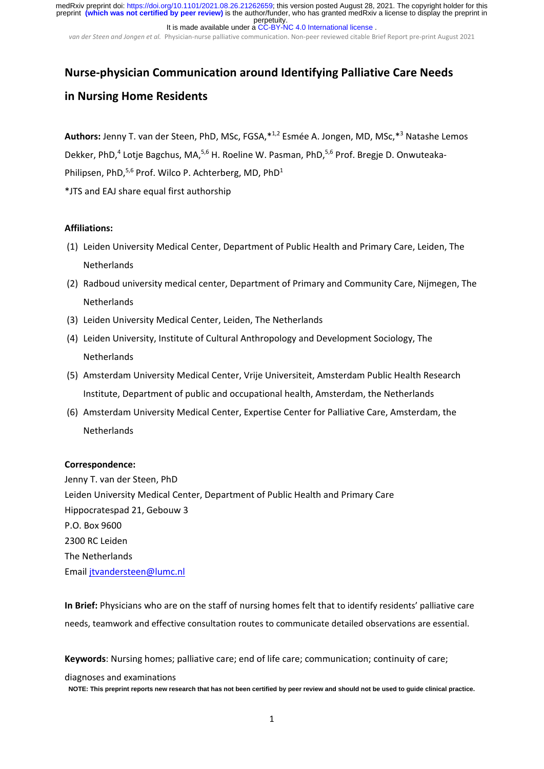*van der Steen and Jongen et al.* Physician‐nurse palliative communication. Non‐peer reviewed citable Brief Report pre‐print August 2021

# **Nurse‐physician Communication around Identifying Palliative Care Needs in Nursing Home Residents**

**Authors:** Jenny T. van der Steen, PhD, MSc, FGSA,\*1,2 Esmée A. Jongen, MD, MSc,\*3 Natashe Lemos Dekker, PhD,<sup>4</sup> Lotje Bagchus, MA,<sup>5,6</sup> H. Roeline W. Pasman, PhD,<sup>5,6</sup> Prof. Bregje D. Onwuteaka-Philipsen. PhD.<sup>5,6</sup> Prof. Wilco P. Achterberg, MD, PhD<sup>1</sup> \*JTS and EAJ share equal first authorship

### **Affiliations:**

- (1) Leiden University Medical Center, Department of Public Health and Primary Care, Leiden, The **Netherlands**
- (2) Radboud university medical center, Department of Primary and Community Care, Nijmegen, The **Netherlands**
- (3) Leiden University Medical Center, Leiden, The Netherlands
- (4) Leiden University, Institute of Cultural Anthropology and Development Sociology, The **Netherlands**
- (5) Amsterdam University Medical Center, Vrije Universiteit, Amsterdam Public Health Research Institute, Department of public and occupational health, Amsterdam, the Netherlands
- (6) Amsterdam University Medical Center, Expertise Center for Palliative Care, Amsterdam, the **Netherlands**

### **Correspondence:**

Jenny T. van der Steen, PhD Leiden University Medical Center, Department of Public Health and Primary Care Hippocratespad 21, Gebouw 3 P.O. Box 9600 2300 RC Leiden The Netherlands Email jtvandersteen@lumc.nl

**In Brief:** Physicians who are on the staff of nursing homes felt that to identify residents' palliative care needs, teamwork and effective consultation routes to communicate detailed observations are essential.

**Keywords**: Nursing homes; palliative care; end of life care; communication; continuity of care;

diagnoses and examinations

**NOTE: This preprint reports new research that has not been certified by peer review and should not be used to guide clinical practice.**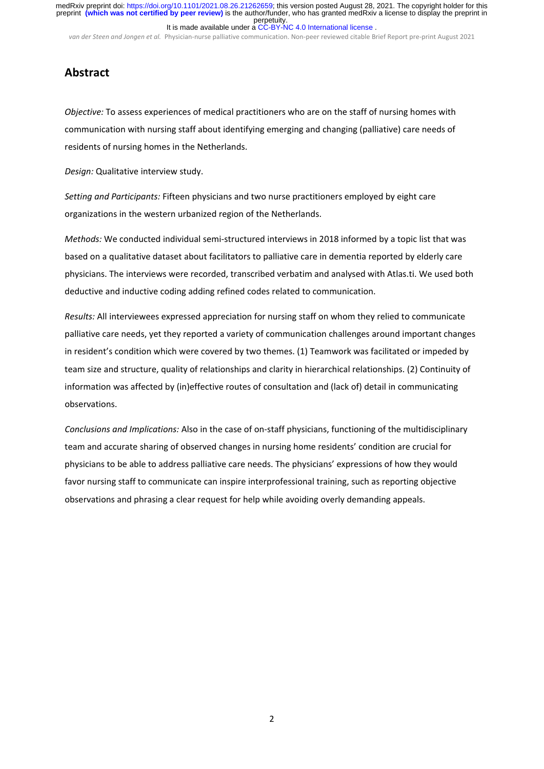*van der Steen and Jongen et al.* Physician‐nurse palliative communication. Non‐peer reviewed citable Brief Report pre‐print August 2021

# **Abstract**

*Objective:* To assess experiences of medical practitioners who are on the staff of nursing homes with communication with nursing staff about identifying emerging and changing (palliative) care needs of residents of nursing homes in the Netherlands.

*Design:* Qualitative interview study.

*Setting and Participants:* Fifteen physicians and two nurse practitioners employed by eight care organizations in the western urbanized region of the Netherlands.

*Methods:* We conducted individual semi‐structured interviews in 2018 informed by a topic list that was based on a qualitative dataset about facilitators to palliative care in dementia reported by elderly care physicians. The interviews were recorded, transcribed verbatim and analysed with Atlas.ti. We used both deductive and inductive coding adding refined codes related to communication.

*Results:* All interviewees expressed appreciation for nursing staff on whom they relied to communicate palliative care needs, yet they reported a variety of communication challenges around important changes in resident's condition which were covered by two themes. (1) Teamwork was facilitated or impeded by team size and structure, quality of relationships and clarity in hierarchical relationships. (2) Continuity of information was affected by (in)effective routes of consultation and (lack of) detail in communicating observations.

*Conclusions and Implications:* Also in the case of on‐staff physicians, functioning of the multidisciplinary team and accurate sharing of observed changes in nursing home residents' condition are crucial for physicians to be able to address palliative care needs. The physicians' expressions of how they would favor nursing staff to communicate can inspire interprofessional training, such as reporting objective observations and phrasing a clear request for help while avoiding overly demanding appeals.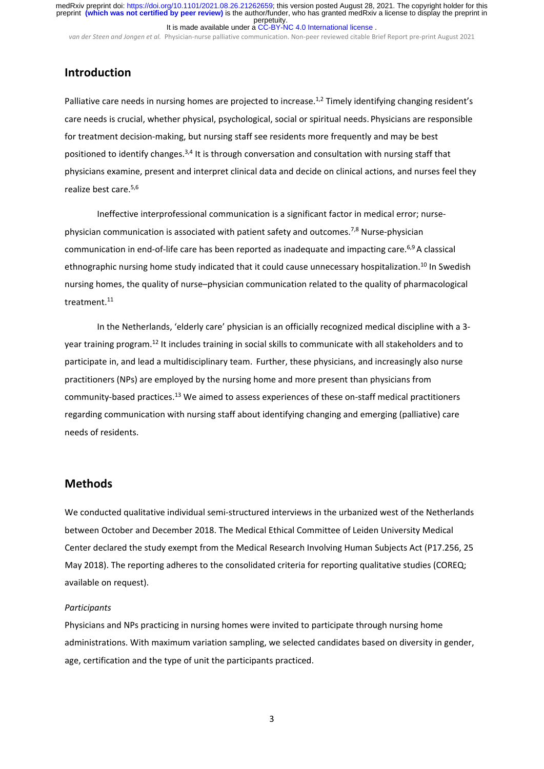*van der Steen and Jongen et al.* Physician‐nurse palliative communication. Non‐peer reviewed citable Brief Report pre‐print August 2021

# **Introduction**

Palliative care needs in nursing homes are projected to increase.<sup>1,2</sup> Timely identifying changing resident's care needs is crucial, whether physical, psychological, social or spiritual needs. Physicians are responsible for treatment decision-making, but nursing staff see residents more frequently and may be best positioned to identify changes.<sup>3,4</sup> It is through conversation and consultation with nursing staff that physicians examine, present and interpret clinical data and decide on clinical actions, and nurses feel they realize best care.5,6

Ineffective interprofessional communication is a significant factor in medical error; nurse‐ physician communication is associated with patient safety and outcomes.7,8 Nurse‐physician communication in end-of-life care has been reported as inadequate and impacting care.<sup>6,9</sup> A classical ethnographic nursing home study indicated that it could cause unnecessary hospitalization.<sup>10</sup> In Swedish nursing homes, the quality of nurse–physician communication related to the quality of pharmacological treatment.11

In the Netherlands, 'elderly care' physician is an officially recognized medical discipline with a 3‐ year training program.12 It includes training in social skills to communicate with all stakeholders and to participate in, and lead a multidisciplinary team. Further, these physicians, and increasingly also nurse practitioners (NPs) are employed by the nursing home and more present than physicians from community‐based practices.<sup>13</sup> We aimed to assess experiences of these on‐staff medical practitioners regarding communication with nursing staff about identifying changing and emerging (palliative) care needs of residents.

# **Methods**

We conducted qualitative individual semi‐structured interviews in the urbanized west of the Netherlands between October and December 2018. The Medical Ethical Committee of Leiden University Medical Center declared the study exempt from the Medical Research Involving Human Subjects Act (P17.256, 25 May 2018). The reporting adheres to the consolidated criteria for reporting qualitative studies (COREQ; available on request).

#### *Participants*

Physicians and NPs practicing in nursing homes were invited to participate through nursing home administrations. With maximum variation sampling, we selected candidates based on diversity in gender, age, certification and the type of unit the participants practiced.

3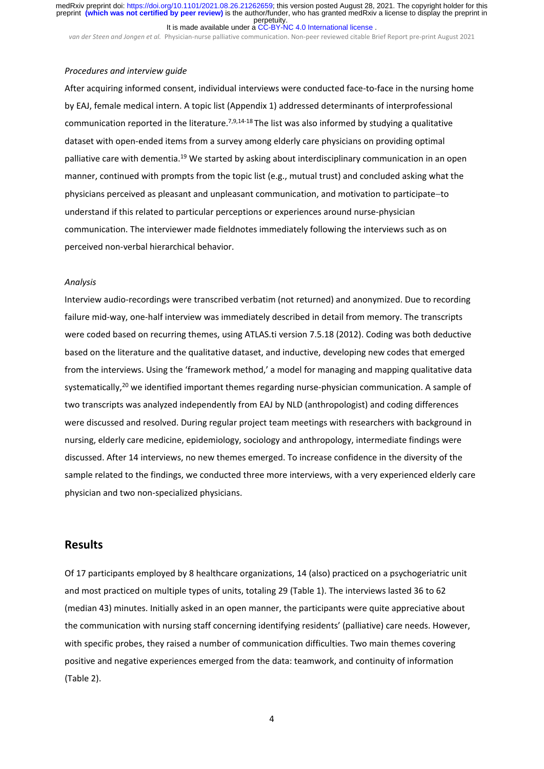*van der Steen and Jongen et al.* Physician‐nurse palliative communication. Non‐peer reviewed citable Brief Report pre‐print August 2021

#### *Procedures and interview guide*

After acquiring informed consent, individual interviews were conducted face‐to‐face in the nursing home by EAJ, female medical intern. A topic list (Appendix 1) addressed determinants of interprofessional communication reported in the literature.<sup>7,9,14-18</sup> The list was also informed by studying a qualitative dataset with open‐ended items from a survey among elderly care physicians on providing optimal palliative care with dementia.19 We started by asking about interdisciplinary communication in an open manner, continued with prompts from the topic list (e.g., mutual trust) and concluded asking what the physicians perceived as pleasant and unpleasant communication, and motivation to participate-to understand if this related to particular perceptions or experiences around nurse‐physician communication. The interviewer made fieldnotes immediately following the interviews such as on perceived non‐verbal hierarchical behavior.

#### *Analysis*

Interview audio‐recordings were transcribed verbatim (not returned) and anonymized. Due to recording failure mid‐way, one‐half interview was immediately described in detail from memory. The transcripts were coded based on recurring themes, using ATLAS.ti version 7.5.18 (2012). Coding was both deductive based on the literature and the qualitative dataset, and inductive, developing new codes that emerged from the interviews. Using the 'framework method,' a model for managing and mapping qualitative data systematically,<sup>20</sup> we identified important themes regarding nurse-physician communication. A sample of two transcripts was analyzed independently from EAJ by NLD (anthropologist) and coding differences were discussed and resolved. During regular project team meetings with researchers with background in nursing, elderly care medicine, epidemiology, sociology and anthropology, intermediate findings were discussed. After 14 interviews, no new themes emerged. To increase confidence in the diversity of the sample related to the findings, we conducted three more interviews, with a very experienced elderly care physician and two non‐specialized physicians.

# **Results**

Of 17 participants employed by 8 healthcare organizations, 14 (also) practiced on a psychogeriatric unit and most practiced on multiple types of units, totaling 29 (Table 1). The interviews lasted 36 to 62 (median 43) minutes. Initially asked in an open manner, the participants were quite appreciative about the communication with nursing staff concerning identifying residents' (palliative) care needs. However, with specific probes, they raised a number of communication difficulties. Two main themes covering positive and negative experiences emerged from the data: teamwork, and continuity of information (Table 2).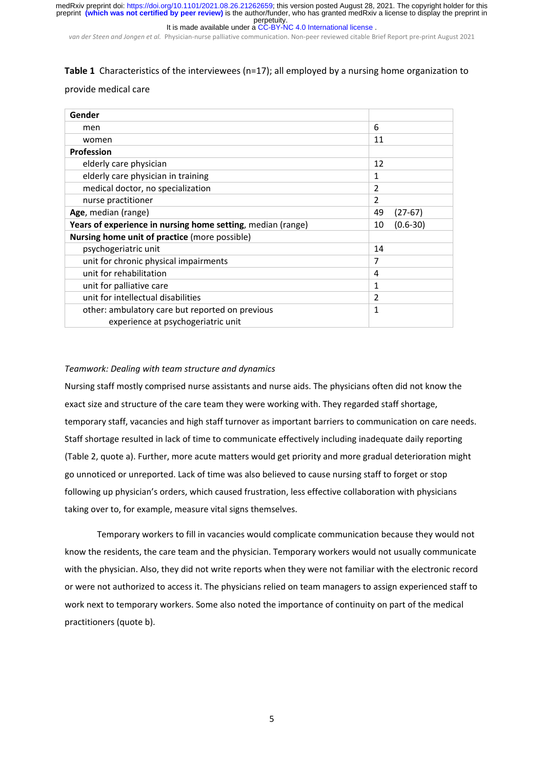perpetuity. preprint **(which was not certified by peer review)** is the author/funder, who has granted medRxiv a license to display the preprint in medRxiv preprint doi: [https://doi.org/10.1101/2021.08.26.21262659;](https://doi.org/10.1101/2021.08.26.21262659) this version posted August 28, 2021. The copyright holder for this

It is made available under a [CC-BY-NC 4.0 International license](http://creativecommons.org/licenses/by-nc/4.0/) .

*van der Steen and Jongen et al.* Physician‐nurse palliative communication. Non‐peer reviewed citable Brief Report pre‐print August 2021

### **Table 1** Characteristics of the interviewees (n=17); all employed by a nursing home organization to

#### provide medical care

| Gender                                                      |                    |
|-------------------------------------------------------------|--------------------|
| men                                                         | 6                  |
| women                                                       | 11                 |
| <b>Profession</b>                                           |                    |
| elderly care physician                                      | 12                 |
| elderly care physician in training                          | 1                  |
| medical doctor, no specialization                           | $\overline{2}$     |
| nurse practitioner                                          | 2                  |
| Age, median (range)                                         | 49<br>$(27-67)$    |
| Years of experience in nursing home setting, median (range) | $(0.6 - 30)$<br>10 |
| Nursing home unit of practice (more possible)               |                    |
| psychogeriatric unit                                        | 14                 |
| unit for chronic physical impairments                       | 7                  |
| unit for rehabilitation                                     | 4                  |
| unit for palliative care                                    | 1                  |
| unit for intellectual disabilities                          | 2                  |
| other: ambulatory care but reported on previous             | 1                  |
| experience at psychogeriatric unit                          |                    |

#### *Teamwork: Dealing with team structure and dynamics*

Nursing staff mostly comprised nurse assistants and nurse aids. The physicians often did not know the exact size and structure of the care team they were working with. They regarded staff shortage, temporary staff, vacancies and high staff turnover as important barriers to communication on care needs. Staff shortage resulted in lack of time to communicate effectively including inadequate daily reporting (Table 2, quote a). Further, more acute matters would get priority and more gradual deterioration might go unnoticed or unreported. Lack of time was also believed to cause nursing staff to forget or stop following up physician's orders, which caused frustration, less effective collaboration with physicians taking over to, for example, measure vital signs themselves.

Temporary workers to fill in vacancies would complicate communication because they would not know the residents, the care team and the physician. Temporary workers would not usually communicate with the physician. Also, they did not write reports when they were not familiar with the electronic record or were not authorized to access it. The physicians relied on team managers to assign experienced staff to work next to temporary workers. Some also noted the importance of continuity on part of the medical practitioners (quote b).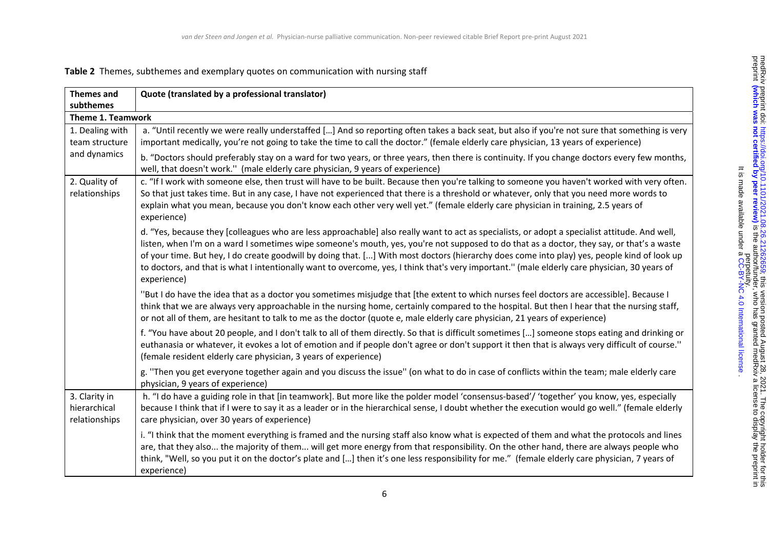# **Table 2** Themes, subthemes and exemplary quotes on communication with nursing staff

| <b>Themes and</b>                                 | Quote (translated by a professional translator)                                                                                                                                                                                                                                                                                                                                                                                                                                                                                                                                                            |  |  |
|---------------------------------------------------|------------------------------------------------------------------------------------------------------------------------------------------------------------------------------------------------------------------------------------------------------------------------------------------------------------------------------------------------------------------------------------------------------------------------------------------------------------------------------------------------------------------------------------------------------------------------------------------------------------|--|--|
| subthemes                                         |                                                                                                                                                                                                                                                                                                                                                                                                                                                                                                                                                                                                            |  |  |
| <b>Theme 1. Teamwork</b>                          |                                                                                                                                                                                                                                                                                                                                                                                                                                                                                                                                                                                                            |  |  |
| 1. Dealing with<br>team structure<br>and dynamics | a. "Until recently we were really understaffed [] And so reporting often takes a back seat, but also if you're not sure that something is very<br>important medically, you're not going to take the time to call the doctor." (female elderly care physician, 13 years of experience)                                                                                                                                                                                                                                                                                                                      |  |  |
|                                                   | b. "Doctors should preferably stay on a ward for two years, or three years, then there is continuity. If you change doctors every few months,<br>well, that doesn't work." (male elderly care physician, 9 years of experience)                                                                                                                                                                                                                                                                                                                                                                            |  |  |
| 2. Quality of<br>relationships                    | c. "If I work with someone else, then trust will have to be built. Because then you're talking to someone you haven't worked with very often.<br>So that just takes time. But in any case, I have not experienced that there is a threshold or whatever, only that you need more words to<br>explain what you mean, because you don't know each other very well yet." (female elderly care physician in training, 2.5 years of<br>experience)                                                                                                                                                              |  |  |
|                                                   | d. "Yes, because they [colleagues who are less approachable] also really want to act as specialists, or adopt a specialist attitude. And well,<br>listen, when I'm on a ward I sometimes wipe someone's mouth, yes, you're not supposed to do that as a doctor, they say, or that's a waste<br>of your time. But hey, I do create goodwill by doing that. [] With most doctors (hierarchy does come into play) yes, people kind of look up<br>to doctors, and that is what I intentionally want to overcome, yes, I think that's very important." (male elderly care physician, 30 years of<br>experience) |  |  |
|                                                   | "But I do have the idea that as a doctor you sometimes misjudge that [the extent to which nurses feel doctors are accessible]. Because I<br>think that we are always very approachable in the nursing home, certainly compared to the hospital. But then I hear that the nursing staff,<br>or not all of them, are hesitant to talk to me as the doctor (quote e, male elderly care physician, 21 years of experience)                                                                                                                                                                                     |  |  |
|                                                   | f. "You have about 20 people, and I don't talk to all of them directly. So that is difficult sometimes [] someone stops eating and drinking or<br>euthanasia or whatever, it evokes a lot of emotion and if people don't agree or don't support it then that is always very difficult of course."<br>(female resident elderly care physician, 3 years of experience)                                                                                                                                                                                                                                       |  |  |
|                                                   | g. "Then you get everyone together again and you discuss the issue" (on what to do in case of conflicts within the team; male elderly care<br>physician, 9 years of experience)                                                                                                                                                                                                                                                                                                                                                                                                                            |  |  |
| 3. Clarity in<br>hierarchical<br>relationships    | h. "I do have a guiding role in that [in teamwork]. But more like the polder model 'consensus-based'/ 'together' you know, yes, especially<br>because I think that if I were to say it as a leader or in the hierarchical sense, I doubt whether the execution would go well." (female elderly<br>care physician, over 30 years of experience)                                                                                                                                                                                                                                                             |  |  |
|                                                   | i. "I think that the moment everything is framed and the nursing staff also know what is expected of them and what the protocols and lines<br>are, that they also the majority of them will get more energy from that responsibility. On the other hand, there are always people who<br>think, "Well, so you put it on the doctor's plate and [] then it's one less responsibility for me." (female elderly care physician, 7 years of<br>experience)                                                                                                                                                      |  |  |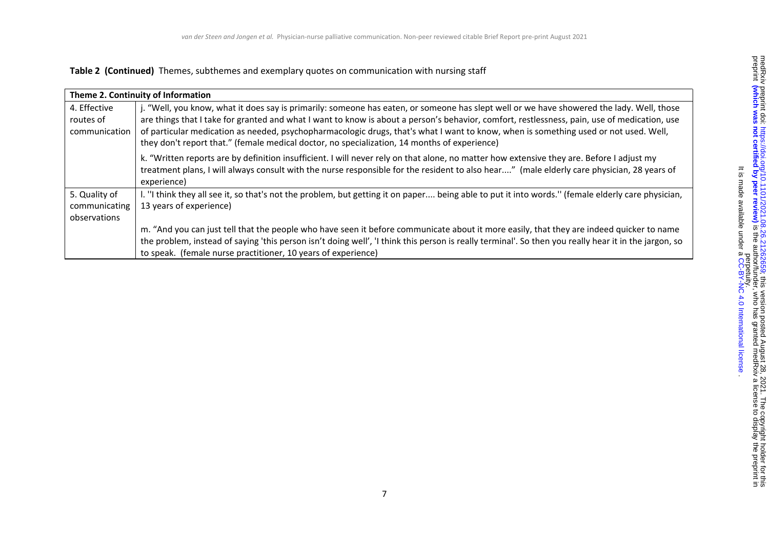#### **Table 2 (Continued)** Themes, subthemes and exemplary quotes on communication with nursing staff

| Theme 2. Continuity of Information |                                                                                                                                                                                                                                                                                         |  |  |
|------------------------------------|-----------------------------------------------------------------------------------------------------------------------------------------------------------------------------------------------------------------------------------------------------------------------------------------|--|--|
| 4. Effective                       | j. "Well, you know, what it does say is primarily: someone has eaten, or someone has slept well or we have showered the lady. Well, those                                                                                                                                               |  |  |
| routes of                          | are things that I take for granted and what I want to know is about a person's behavior, comfort, restlessness, pain, use of medication, use                                                                                                                                            |  |  |
| communication                      | of particular medication as needed, psychopharmacologic drugs, that's what I want to know, when is something used or not used. Well,<br>they don't report that." (female medical doctor, no specialization, 14 months of experience)                                                    |  |  |
|                                    | k. "Written reports are by definition insufficient. I will never rely on that alone, no matter how extensive they are. Before I adjust my<br>treatment plans, I will always consult with the nurse responsible for the resident to also hear" (male elderly care physician, 28 years of |  |  |
|                                    | experience)                                                                                                                                                                                                                                                                             |  |  |
| 5. Quality of                      | I. "I think they all see it, so that's not the problem, but getting it on paper being able to put it into words." (female elderly care physician,                                                                                                                                       |  |  |
| communicating                      | 13 years of experience)                                                                                                                                                                                                                                                                 |  |  |
| observations                       |                                                                                                                                                                                                                                                                                         |  |  |
|                                    | m. "And you can just tell that the people who have seen it before communicate about it more easily, that they are indeed quicker to name                                                                                                                                                |  |  |
|                                    | the problem, instead of saying 'this person isn't doing well', 'I think this person is really terminal'. So then you really hear it in the jargon, so                                                                                                                                   |  |  |
|                                    | to speak. (female nurse practitioner, 10 years of experience)                                                                                                                                                                                                                           |  |  |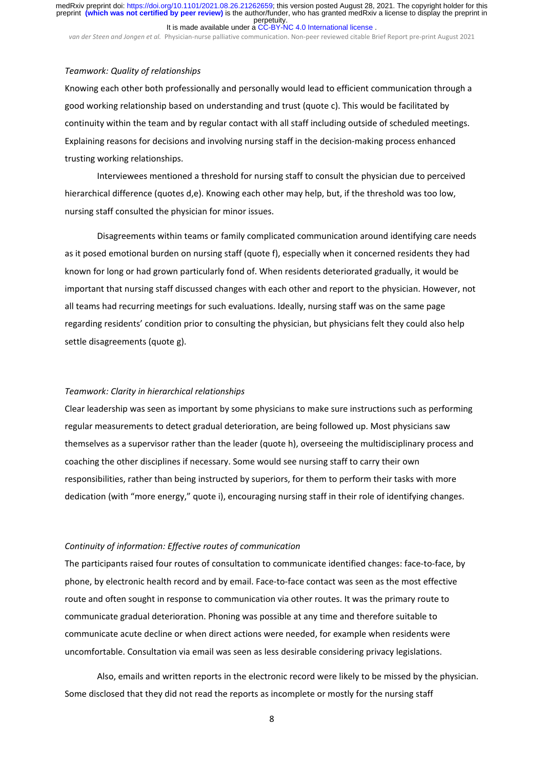*van der Steen and Jongen et al.* Physician‐nurse palliative communication. Non‐peer reviewed citable Brief Report pre‐print August 2021

#### *Teamwork: Quality of relationships*

Knowing each other both professionally and personally would lead to efficient communication through a good working relationship based on understanding and trust (quote c). This would be facilitated by continuity within the team and by regular contact with all staff including outside of scheduled meetings. Explaining reasons for decisions and involving nursing staff in the decision‐making process enhanced trusting working relationships.

Interviewees mentioned a threshold for nursing staff to consult the physician due to perceived hierarchical difference (quotes d,e). Knowing each other may help, but, if the threshold was too low, nursing staff consulted the physician for minor issues.

Disagreements within teams or family complicated communication around identifying care needs as it posed emotional burden on nursing staff (quote f), especially when it concerned residents they had known for long or had grown particularly fond of. When residents deteriorated gradually, it would be important that nursing staff discussed changes with each other and report to the physician. However, not all teams had recurring meetings for such evaluations. Ideally, nursing staff was on the same page regarding residents' condition prior to consulting the physician, but physicians felt they could also help settle disagreements (quote g).

#### *Teamwork: Clarity in hierarchical relationships*

Clear leadership was seen as important by some physicians to make sure instructions such as performing regular measurements to detect gradual deterioration, are being followed up. Most physicians saw themselves as a supervisor rather than the leader (quote h), overseeing the multidisciplinary process and coaching the other disciplines if necessary. Some would see nursing staff to carry their own responsibilities, rather than being instructed by superiors, for them to perform their tasks with more dedication (with "more energy," quote i), encouraging nursing staff in their role of identifying changes.

#### *Continuity of information: Effective routes of communication*

The participants raised four routes of consultation to communicate identified changes: face-to-face, by phone, by electronic health record and by email. Face‐to‐face contact was seen as the most effective route and often sought in response to communication via other routes. It was the primary route to communicate gradual deterioration. Phoning was possible at any time and therefore suitable to communicate acute decline or when direct actions were needed, for example when residents were uncomfortable. Consultation via email was seen as less desirable considering privacy legislations.

Also, emails and written reports in the electronic record were likely to be missed by the physician. Some disclosed that they did not read the reports as incomplete or mostly for the nursing staff

8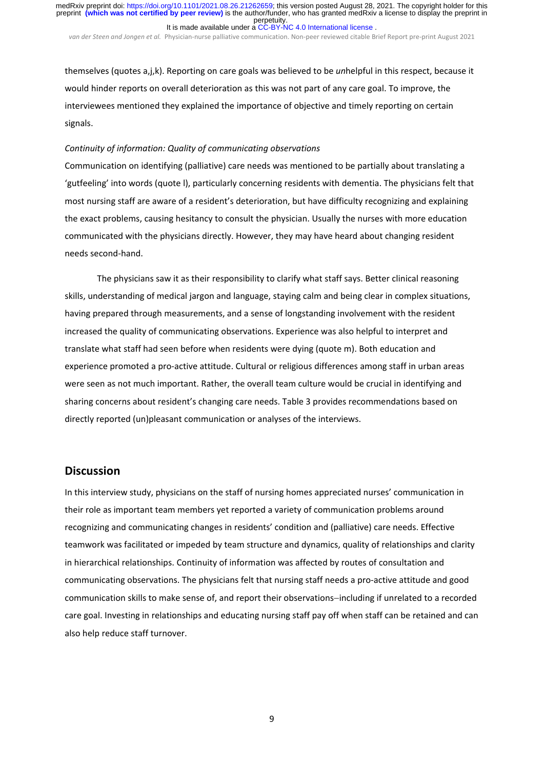*van der Steen and Jongen et al.* Physician‐nurse palliative communication. Non‐peer reviewed citable Brief Report pre‐print August 2021

themselves (quotes a,j,k). Reporting on care goals was believed to be *un*helpful in this respect, because it would hinder reports on overall deterioration as this was not part of any care goal. To improve, the interviewees mentioned they explained the importance of objective and timely reporting on certain signals.

#### *Continuity of information: Quality of communicating observations*

Communication on identifying (palliative) care needs was mentioned to be partially about translating a 'gutfeeling' into words (quote l), particularly concerning residents with dementia. The physicians felt that most nursing staff are aware of a resident's deterioration, but have difficulty recognizing and explaining the exact problems, causing hesitancy to consult the physician. Usually the nurses with more education communicated with the physicians directly. However, they may have heard about changing resident needs second‐hand.

The physicians saw it as their responsibility to clarify what staff says. Better clinical reasoning skills, understanding of medical jargon and language, staying calm and being clear in complex situations, having prepared through measurements, and a sense of longstanding involvement with the resident increased the quality of communicating observations. Experience was also helpful to interpret and translate what staff had seen before when residents were dying (quote m). Both education and experience promoted a pro‐active attitude. Cultural or religious differences among staff in urban areas were seen as not much important. Rather, the overall team culture would be crucial in identifying and sharing concerns about resident's changing care needs. Table 3 provides recommendations based on directly reported (un)pleasant communication or analyses of the interviews.

# **Discussion**

In this interview study, physicians on the staff of nursing homes appreciated nurses' communication in their role as important team members yet reported a variety of communication problems around recognizing and communicating changes in residents' condition and (palliative) care needs. Effective teamwork was facilitated or impeded by team structure and dynamics, quality of relationships and clarity in hierarchical relationships. Continuity of information was affected by routes of consultation and communicating observations. The physicians felt that nursing staff needs a pro‐active attitude and good communication skills to make sense of, and report their observations-including if unrelated to a recorded care goal. Investing in relationships and educating nursing staff pay off when staff can be retained and can also help reduce staff turnover.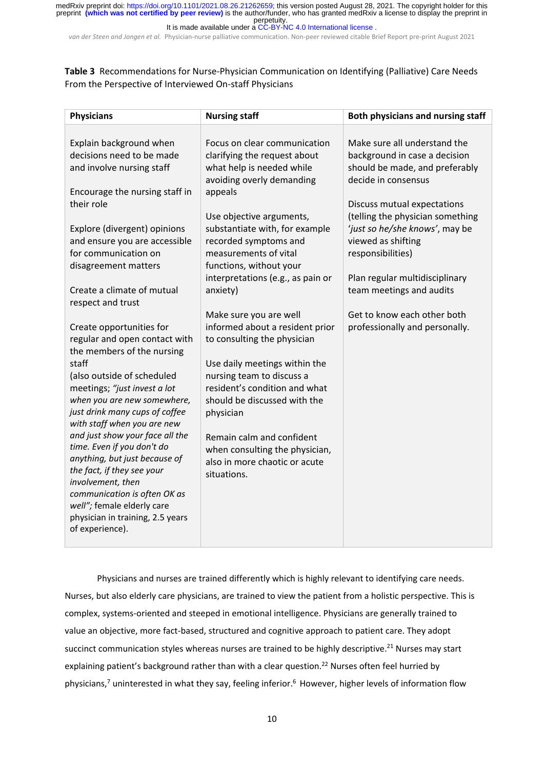*van der Steen and Jongen et al.* Physician‐nurse palliative communication. Non‐peer reviewed citable Brief Report pre‐print August 2021

**Table 3** Recommendations for Nurse‐Physician Communication on Identifying (Palliative) Care Needs From the Perspective of Interviewed On‐staff Physicians

| <b>Physicians</b>                                                                                                                                                                                                                                                                                                                                                                                                                                                                                                                                                                                                                                                                                                                                                                                                                                 | <b>Nursing staff</b>                                                                                                                                                                                                                                                                                                                                                                                                                                                                                                                                                                                                                                                                 | Both physicians and nursing staff                                                                                                                                                                                                                                                                                                                                                                     |
|---------------------------------------------------------------------------------------------------------------------------------------------------------------------------------------------------------------------------------------------------------------------------------------------------------------------------------------------------------------------------------------------------------------------------------------------------------------------------------------------------------------------------------------------------------------------------------------------------------------------------------------------------------------------------------------------------------------------------------------------------------------------------------------------------------------------------------------------------|--------------------------------------------------------------------------------------------------------------------------------------------------------------------------------------------------------------------------------------------------------------------------------------------------------------------------------------------------------------------------------------------------------------------------------------------------------------------------------------------------------------------------------------------------------------------------------------------------------------------------------------------------------------------------------------|-------------------------------------------------------------------------------------------------------------------------------------------------------------------------------------------------------------------------------------------------------------------------------------------------------------------------------------------------------------------------------------------------------|
| Explain background when<br>decisions need to be made<br>and involve nursing staff<br>Encourage the nursing staff in<br>their role<br>Explore (divergent) opinions<br>and ensure you are accessible<br>for communication on<br>disagreement matters<br>Create a climate of mutual<br>respect and trust<br>Create opportunities for<br>regular and open contact with<br>the members of the nursing<br>staff<br>(also outside of scheduled<br>meetings; "just invest a lot<br>when you are new somewhere,<br>just drink many cups of coffee<br>with staff when you are new<br>and just show your face all the<br>time. Even if you don't do<br>anything, but just because of<br>the fact, if they see your<br>involvement, then<br>communication is often OK as<br>well"; female elderly care<br>physician in training, 2.5 years<br>of experience). | Focus on clear communication<br>clarifying the request about<br>what help is needed while<br>avoiding overly demanding<br>appeals<br>Use objective arguments,<br>substantiate with, for example<br>recorded symptoms and<br>measurements of vital<br>functions, without your<br>interpretations (e.g., as pain or<br>anxiety)<br>Make sure you are well<br>informed about a resident prior<br>to consulting the physician<br>Use daily meetings within the<br>nursing team to discuss a<br>resident's condition and what<br>should be discussed with the<br>physician<br>Remain calm and confident<br>when consulting the physician,<br>also in more chaotic or acute<br>situations. | Make sure all understand the<br>background in case a decision<br>should be made, and preferably<br>decide in consensus<br>Discuss mutual expectations<br>(telling the physician something<br>'just so he/she knows', may be<br>viewed as shifting<br>responsibilities)<br>Plan regular multidisciplinary<br>team meetings and audits<br>Get to know each other both<br>professionally and personally. |

Physicians and nurses are trained differently which is highly relevant to identifying care needs. Nurses, but also elderly care physicians, are trained to view the patient from a holistic perspective. This is complex, systems‐oriented and steeped in emotional intelligence. Physicians are generally trained to value an objective, more fact-based, structured and cognitive approach to patient care. They adopt succinct communication styles whereas nurses are trained to be highly descriptive.<sup>21</sup> Nurses may start explaining patient's background rather than with a clear question.<sup>22</sup> Nurses often feel hurried by physicians,<sup>7</sup> uninterested in what they say, feeling inferior.<sup>6</sup> However, higher levels of information flow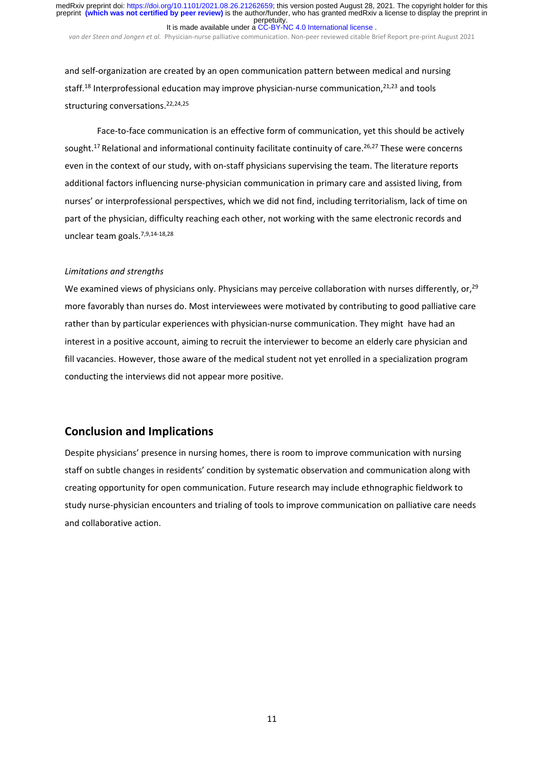*van der Steen and Jongen et al.* Physician‐nurse palliative communication. Non‐peer reviewed citable Brief Report pre‐print August 2021

and self-organization are created by an open communication pattern between medical and nursing staff.<sup>18</sup> Interprofessional education may improve physician-nurse communication,<sup>21,23</sup> and tools structuring conversations.<sup>22,24,25</sup>

Face-to-face communication is an effective form of communication, yet this should be actively sought.<sup>17</sup> Relational and informational continuity facilitate continuity of care.<sup>26,27</sup> These were concerns even in the context of our study, with on-staff physicians supervising the team. The literature reports additional factors influencing nurse‐physician communication in primary care and assisted living, from nurses' or interprofessional perspectives, which we did not find, including territorialism, lack of time on part of the physician, difficulty reaching each other, not working with the same electronic records and unclear team goals.7,9,14‐18,28

#### *Limitations and strengths*

We examined views of physicians only. Physicians may perceive collaboration with nurses differently, or,<sup>29</sup> more favorably than nurses do. Most interviewees were motivated by contributing to good palliative care rather than by particular experiences with physician-nurse communication. They might have had an interest in a positive account, aiming to recruit the interviewer to become an elderly care physician and fill vacancies. However, those aware of the medical student not yet enrolled in a specialization program conducting the interviews did not appear more positive.

# **Conclusion and Implications**

Despite physicians' presence in nursing homes, there is room to improve communication with nursing staff on subtle changes in residents' condition by systematic observation and communication along with creating opportunity for open communication. Future research may include ethnographic fieldwork to study nurse‐physician encounters and trialing of tools to improve communication on palliative care needs and collaborative action.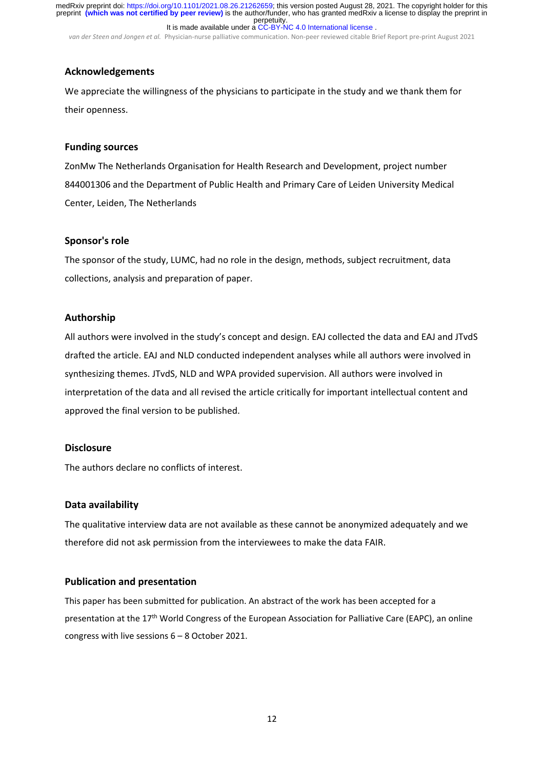*van der Steen and Jongen et al.* Physician‐nurse palliative communication. Non‐peer reviewed citable Brief Report pre‐print August 2021

# **Acknowledgements**

We appreciate the willingness of the physicians to participate in the study and we thank them for their openness.

# **Funding sources**

ZonMw The Netherlands Organisation for Health Research and Development, project number 844001306 and the Department of Public Health and Primary Care of Leiden University Medical Center, Leiden, The Netherlands

# **Sponsor's role**

The sponsor of the study, LUMC, had no role in the design, methods, subject recruitment, data collections, analysis and preparation of paper.

# **Authorship**

All authors were involved in the study's concept and design. EAJ collected the data and EAJ and JTvdS drafted the article. EAJ and NLD conducted independent analyses while all authors were involved in synthesizing themes. JTvdS, NLD and WPA provided supervision. All authors were involved in interpretation of the data and all revised the article critically for important intellectual content and approved the final version to be published.

### **Disclosure**

The authors declare no conflicts of interest.

# **Data availability**

The qualitative interview data are not available as these cannot be anonymized adequately and we therefore did not ask permission from the interviewees to make the data FAIR.

# **Publication and presentation**

This paper has been submitted for publication. An abstract of the work has been accepted for a presentation at the 17<sup>th</sup> World Congress of the European Association for Palliative Care (EAPC), an online congress with live sessions 6 – 8 October 2021.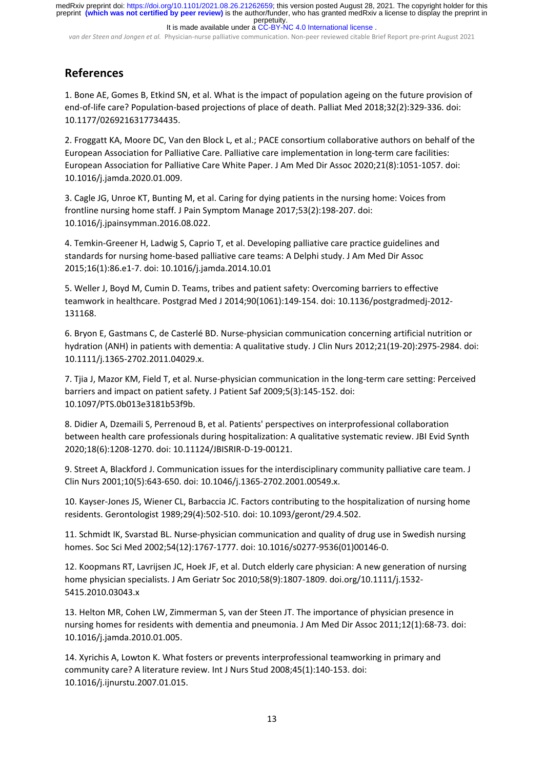perpetuity. preprint **(which was not certified by peer review)** is the author/funder, who has granted medRxiv a license to display the preprint in medRxiv preprint doi: [https://doi.org/10.1101/2021.08.26.21262659;](https://doi.org/10.1101/2021.08.26.21262659) this version posted August 28, 2021. The copyright holder for this

It is made available under a [CC-BY-NC 4.0 International license](http://creativecommons.org/licenses/by-nc/4.0/) .

*van der Steen and Jongen et al.* Physician‐nurse palliative communication. Non‐peer reviewed citable Brief Report pre‐print August 2021

# **References**

1. Bone AE, Gomes B, Etkind SN, et al. What is the impact of population ageing on the future provision of end‐of‐life care? Population‐based projections of place of death. Palliat Med 2018;32(2):329‐336. doi: 10.1177/0269216317734435.

2. Froggatt KA, Moore DC, Van den Block L, et al.; PACE consortium collaborative authors on behalf of the European Association for Palliative Care. Palliative care implementation in long‐term care facilities: European Association for Palliative Care White Paper. J Am Med Dir Assoc 2020;21(8):1051‐1057. doi: 10.1016/j.jamda.2020.01.009.

3. Cagle JG, Unroe KT, Bunting M, et al. Caring for dying patients in the nursing home: Voices from frontline nursing home staff. J Pain Symptom Manage 2017;53(2):198‐207. doi: 10.1016/j.jpainsymman.2016.08.022.

4. Temkin‐Greener H, Ladwig S, Caprio T, et al. Developing palliative care practice guidelines and standards for nursing home‐based palliative care teams: A Delphi study. J Am Med Dir Assoc 2015;16(1):86.e1‐7. doi: 10.1016/j.jamda.2014.10.01

5. Weller J, Boyd M, Cumin D. Teams, tribes and patient safety: Overcoming barriers to effective teamwork in healthcare. Postgrad Med J 2014;90(1061):149‐154. doi: 10.1136/postgradmedj‐2012‐ 131168.

6. Bryon E, Gastmans C, de Casterlé BD. Nurse‐physician communication concerning artificial nutrition or hydration (ANH) in patients with dementia: A qualitative study. J Clin Nurs 2012;21(19‐20):2975‐2984. doi: 10.1111/j.1365‐2702.2011.04029.x.

7. Tjia J, Mazor KM, Field T, et al. Nurse‐physician communication in the long‐term care setting: Perceived barriers and impact on patient safety. J Patient Saf 2009;5(3):145‐152. doi: 10.1097/PTS.0b013e3181b53f9b.

8. Didier A, Dzemaili S, Perrenoud B, et al. Patients' perspectives on interprofessional collaboration between health care professionals during hospitalization: A qualitative systematic review. JBI Evid Synth 2020;18(6):1208‐1270. doi: 10.11124/JBISRIR‐D‐19‐00121.

9. Street A, Blackford J. Communication issues for the interdisciplinary community palliative care team. J Clin Nurs 2001;10(5):643‐650. doi: 10.1046/j.1365‐2702.2001.00549.x.

10. Kayser‐Jones JS, Wiener CL, Barbaccia JC. Factors contributing to the hospitalization of nursing home residents. Gerontologist 1989;29(4):502‐510. doi: 10.1093/geront/29.4.502.

11. Schmidt IK, Svarstad BL. Nurse-physician communication and quality of drug use in Swedish nursing homes. Soc Sci Med 2002;54(12):1767‐1777. doi: 10.1016/s0277‐9536(01)00146‐0.

12. Koopmans RT, Lavrijsen JC, Hoek JF, et al. Dutch elderly care physician: A new generation of nursing home physician specialists. J Am Geriatr Soc 2010;58(9):1807-1809. doi.org/10.1111/j.1532-5415.2010.03043.x

13. Helton MR, Cohen LW, Zimmerman S, van der Steen JT. The importance of physician presence in nursing homes for residents with dementia and pneumonia. J Am Med Dir Assoc 2011;12(1):68‐73. doi: 10.1016/j.jamda.2010.01.005.

14. Xyrichis A, Lowton K. What fosters or prevents interprofessional teamworking in primary and community care? A literature review. Int J Nurs Stud 2008;45(1):140‐153. doi: 10.1016/j.ijnurstu.2007.01.015.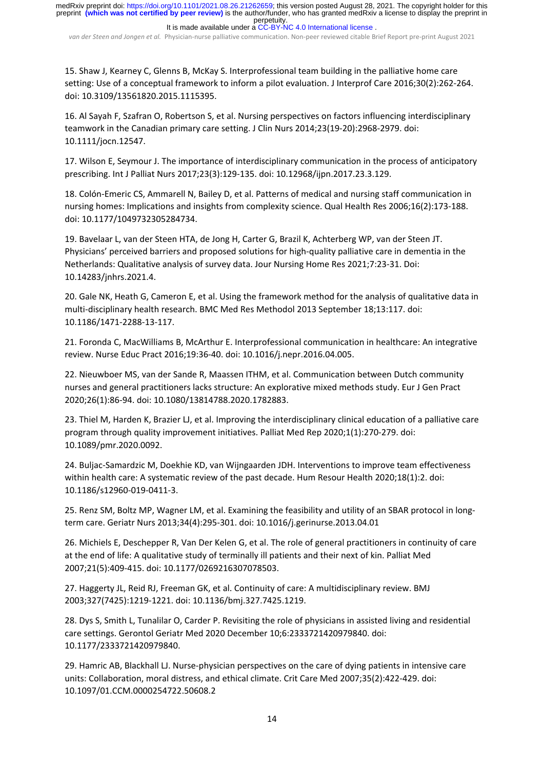*van der Steen and Jongen et al.* Physician‐nurse palliative communication. Non‐peer reviewed citable Brief Report pre‐print August 2021

15. Shaw J, Kearney C, Glenns B, McKay S. Interprofessional team building in the palliative home care setting: Use of a conceptual framework to inform a pilot evaluation. J Interprof Care 2016;30(2):262‐264. doi: 10.3109/13561820.2015.1115395.

16. Al Sayah F, Szafran O, Robertson S, et al. Nursing perspectives on factors influencing interdisciplinary teamwork in the Canadian primary care setting. J Clin Nurs 2014;23(19‐20):2968‐2979. doi: 10.1111/jocn.12547.

17. Wilson E, Seymour J. The importance of interdisciplinary communication in the process of anticipatory prescribing. Int J Palliat Nurs 2017;23(3):129‐135. doi: 10.12968/ijpn.2017.23.3.129.

18. Colón-Emeric CS, Ammarell N, Bailey D, et al. Patterns of medical and nursing staff communication in nursing homes: Implications and insights from complexity science. Qual Health Res 2006;16(2):173‐188. doi: 10.1177/1049732305284734.

19. Bavelaar L, van der Steen HTA, de Jong H, Carter G, Brazil K, Achterberg WP, van der Steen JT. Physicians' perceived barriers and proposed solutions for high‐quality palliative care in dementia in the Netherlands: Qualitative analysis of survey data. Jour Nursing Home Res 2021;7:23‐31. Doi: 10.14283/jnhrs.2021.4.

20. Gale NK, Heath G, Cameron E, et al. Using the framework method for the analysis of qualitative data in multi‐disciplinary health research. BMC Med Res Methodol 2013 September 18;13:117. doi: 10.1186/1471‐2288‐13‐117.

21. Foronda C, MacWilliams B, McArthur E. Interprofessional communication in healthcare: An integrative review. Nurse Educ Pract 2016;19:36‐40. doi: 10.1016/j.nepr.2016.04.005.

22. Nieuwboer MS, van der Sande R, Maassen ITHM, et al. Communication between Dutch community nurses and general practitioners lacks structure: An explorative mixed methods study. Eur J Gen Pract 2020;26(1):86‐94. doi: 10.1080/13814788.2020.1782883.

23. Thiel M, Harden K, Brazier LJ, et al. Improving the interdisciplinary clinical education of a palliative care program through quality improvement initiatives. Palliat Med Rep 2020;1(1):270-279. doi: 10.1089/pmr.2020.0092.

24. Buljac‐Samardzic M, Doekhie KD, van Wijngaarden JDH. Interventions to improve team effectiveness within health care: A systematic review of the past decade. Hum Resour Health 2020;18(1):2. doi: 10.1186/s12960‐019‐0411‐3.

25. Renz SM, Boltz MP, Wagner LM, et al. Examining the feasibility and utility of an SBAR protocol in long‐ term care. Geriatr Nurs 2013;34(4):295‐301. doi: 10.1016/j.gerinurse.2013.04.01

26. Michiels E, Deschepper R, Van Der Kelen G, et al. The role of general practitioners in continuity of care at the end of life: A qualitative study of terminally ill patients and their next of kin. Palliat Med 2007;21(5):409‐415. doi: 10.1177/0269216307078503.

27. Haggerty JL, Reid RJ, Freeman GK, et al. Continuity of care: A multidisciplinary review. BMJ 2003;327(7425):1219‐1221. doi: 10.1136/bmj.327.7425.1219.

28. Dys S, Smith L, Tunalilar O, Carder P. Revisiting the role of physicians in assisted living and residential care settings. Gerontol Geriatr Med 2020 December 10;6:2333721420979840. doi: 10.1177/2333721420979840.

29. Hamric AB, Blackhall LJ. Nurse‐physician perspectives on the care of dying patients in intensive care units: Collaboration, moral distress, and ethical climate. Crit Care Med 2007;35(2):422‐429. doi: 10.1097/01.CCM.0000254722.50608.2